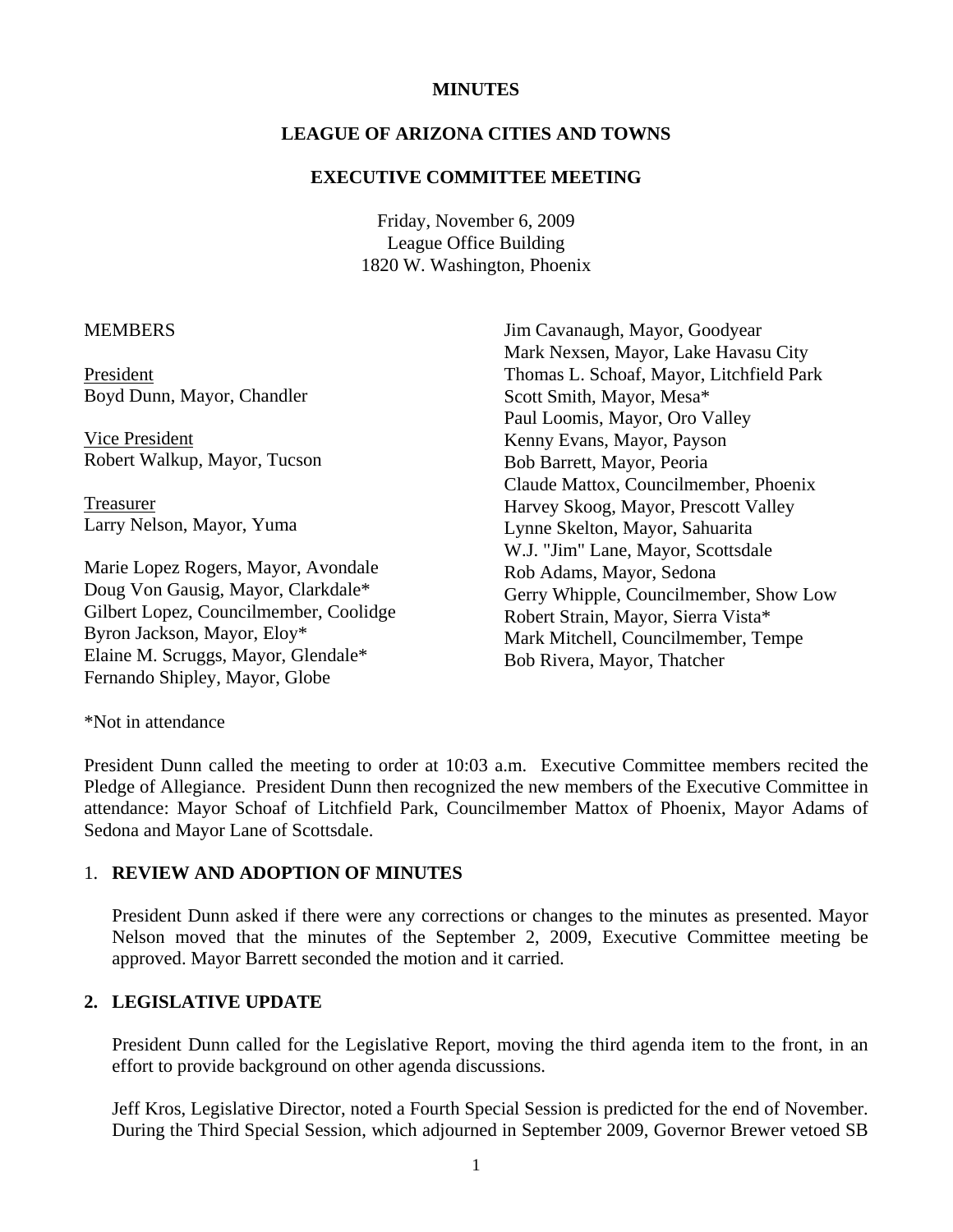## **MINUTES**

## **LEAGUE OF ARIZONA CITIES AND TOWNS**

#### **EXECUTIVE COMMITTEE MEETING**

Friday, November 6, 2009 League Office Building 1820 W. Washington, Phoenix

#### **MEMBERS**

President Boyd Dunn, Mayor, Chandler

 Vice President Robert Walkup, Mayor, Tucson

 Treasurer Larry Nelson, Mayor, Yuma

Marie Lopez Rogers, Mayor, Avondale Doug Von Gausig, Mayor, Clarkdale\* Gilbert Lopez, Councilmember, Coolidge Byron Jackson, Mayor, Eloy\* Elaine M. Scruggs, Mayor, Glendale\* Fernando Shipley, Mayor, Globe

Jim Cavanaugh, Mayor, Goodyear Mark Nexsen, Mayor, Lake Havasu City Thomas L. Schoaf, Mayor, Litchfield Park Scott Smith, Mayor, Mesa\* Paul Loomis, Mayor, Oro Valley Kenny Evans, Mayor, Payson Bob Barrett, Mayor, Peoria Claude Mattox, Councilmember, Phoenix Harvey Skoog, Mayor, Prescott Valley Lynne Skelton, Mayor, Sahuarita W.J. "Jim" Lane, Mayor, Scottsdale Rob Adams, Mayor, Sedona Gerry Whipple, Councilmember, Show Low Robert Strain, Mayor, Sierra Vista\* Mark Mitchell, Councilmember, Tempe Bob Rivera, Mayor, Thatcher

\*Not in attendance

President Dunn called the meeting to order at 10:03 a.m. Executive Committee members recited the Pledge of Allegiance. President Dunn then recognized the new members of the Executive Committee in attendance: Mayor Schoaf of Litchfield Park, Councilmember Mattox of Phoenix, Mayor Adams of Sedona and Mayor Lane of Scottsdale.

## 1. **REVIEW AND ADOPTION OF MINUTES**

President Dunn asked if there were any corrections or changes to the minutes as presented. Mayor Nelson moved that the minutes of the September 2, 2009, Executive Committee meeting be approved. Mayor Barrett seconded the motion and it carried.

# **2. LEGISLATIVE UPDATE**

President Dunn called for the Legislative Report, moving the third agenda item to the front, in an effort to provide background on other agenda discussions.

Jeff Kros, Legislative Director, noted a Fourth Special Session is predicted for the end of November. During the Third Special Session, which adjourned in September 2009, Governor Brewer vetoed SB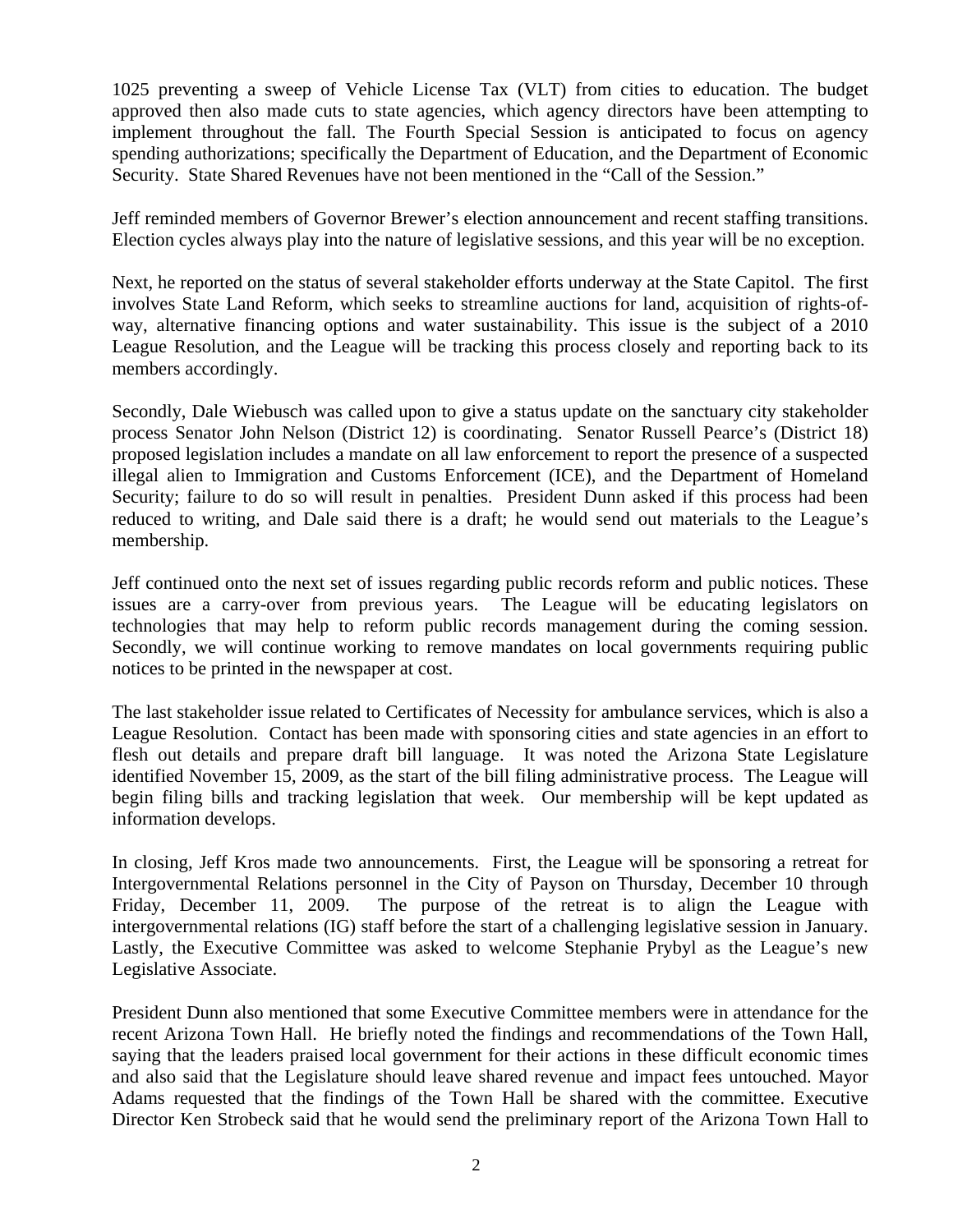1025 preventing a sweep of Vehicle License Tax (VLT) from cities to education. The budget approved then also made cuts to state agencies, which agency directors have been attempting to implement throughout the fall. The Fourth Special Session is anticipated to focus on agency spending authorizations; specifically the Department of Education, and the Department of Economic Security. State Shared Revenues have not been mentioned in the "Call of the Session."

Jeff reminded members of Governor Brewer's election announcement and recent staffing transitions. Election cycles always play into the nature of legislative sessions, and this year will be no exception.

Next, he reported on the status of several stakeholder efforts underway at the State Capitol. The first involves State Land Reform, which seeks to streamline auctions for land, acquisition of rights-ofway, alternative financing options and water sustainability. This issue is the subject of a 2010 League Resolution, and the League will be tracking this process closely and reporting back to its members accordingly.

Secondly, Dale Wiebusch was called upon to give a status update on the sanctuary city stakeholder process Senator John Nelson (District 12) is coordinating. Senator Russell Pearce's (District 18) proposed legislation includes a mandate on all law enforcement to report the presence of a suspected illegal alien to Immigration and Customs Enforcement (ICE), and the Department of Homeland Security; failure to do so will result in penalties. President Dunn asked if this process had been reduced to writing, and Dale said there is a draft; he would send out materials to the League's membership.

Jeff continued onto the next set of issues regarding public records reform and public notices. These issues are a carry-over from previous years. The League will be educating legislators on technologies that may help to reform public records management during the coming session. Secondly, we will continue working to remove mandates on local governments requiring public notices to be printed in the newspaper at cost.

The last stakeholder issue related to Certificates of Necessity for ambulance services, which is also a League Resolution. Contact has been made with sponsoring cities and state agencies in an effort to flesh out details and prepare draft bill language. It was noted the Arizona State Legislature identified November 15, 2009, as the start of the bill filing administrative process. The League will begin filing bills and tracking legislation that week. Our membership will be kept updated as information develops.

In closing, Jeff Kros made two announcements. First, the League will be sponsoring a retreat for Intergovernmental Relations personnel in the City of Payson on Thursday, December 10 through Friday, December 11, 2009. The purpose of the retreat is to align the League with intergovernmental relations (IG) staff before the start of a challenging legislative session in January. Lastly, the Executive Committee was asked to welcome Stephanie Prybyl as the League's new Legislative Associate.

President Dunn also mentioned that some Executive Committee members were in attendance for the recent Arizona Town Hall. He briefly noted the findings and recommendations of the Town Hall, saying that the leaders praised local government for their actions in these difficult economic times and also said that the Legislature should leave shared revenue and impact fees untouched. Mayor Adams requested that the findings of the Town Hall be shared with the committee. Executive Director Ken Strobeck said that he would send the preliminary report of the Arizona Town Hall to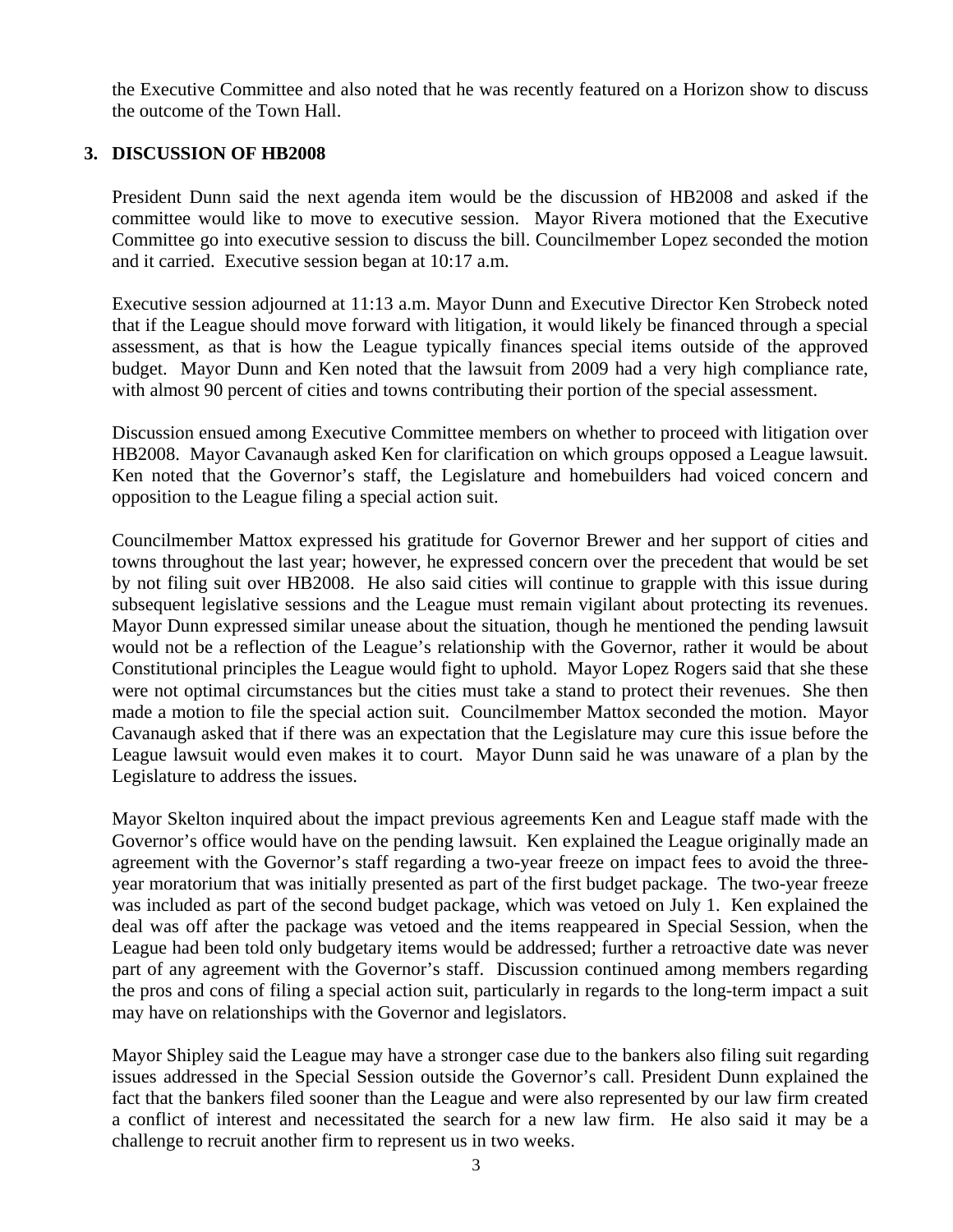the Executive Committee and also noted that he was recently featured on a Horizon show to discuss the outcome of the Town Hall.

## **3. DISCUSSION OF HB2008**

President Dunn said the next agenda item would be the discussion of HB2008 and asked if the committee would like to move to executive session. Mayor Rivera motioned that the Executive Committee go into executive session to discuss the bill. Councilmember Lopez seconded the motion and it carried. Executive session began at 10:17 a.m.

Executive session adjourned at 11:13 a.m. Mayor Dunn and Executive Director Ken Strobeck noted that if the League should move forward with litigation, it would likely be financed through a special assessment, as that is how the League typically finances special items outside of the approved budget. Mayor Dunn and Ken noted that the lawsuit from 2009 had a very high compliance rate, with almost 90 percent of cities and towns contributing their portion of the special assessment.

Discussion ensued among Executive Committee members on whether to proceed with litigation over HB2008. Mayor Cavanaugh asked Ken for clarification on which groups opposed a League lawsuit. Ken noted that the Governor's staff, the Legislature and homebuilders had voiced concern and opposition to the League filing a special action suit.

Councilmember Mattox expressed his gratitude for Governor Brewer and her support of cities and towns throughout the last year; however, he expressed concern over the precedent that would be set by not filing suit over HB2008. He also said cities will continue to grapple with this issue during subsequent legislative sessions and the League must remain vigilant about protecting its revenues. Mayor Dunn expressed similar unease about the situation, though he mentioned the pending lawsuit would not be a reflection of the League's relationship with the Governor, rather it would be about Constitutional principles the League would fight to uphold. Mayor Lopez Rogers said that she these were not optimal circumstances but the cities must take a stand to protect their revenues. She then made a motion to file the special action suit. Councilmember Mattox seconded the motion. Mayor Cavanaugh asked that if there was an expectation that the Legislature may cure this issue before the League lawsuit would even makes it to court. Mayor Dunn said he was unaware of a plan by the Legislature to address the issues.

Mayor Skelton inquired about the impact previous agreements Ken and League staff made with the Governor's office would have on the pending lawsuit. Ken explained the League originally made an agreement with the Governor's staff regarding a two-year freeze on impact fees to avoid the threeyear moratorium that was initially presented as part of the first budget package. The two-year freeze was included as part of the second budget package, which was vetoed on July 1. Ken explained the deal was off after the package was vetoed and the items reappeared in Special Session, when the League had been told only budgetary items would be addressed; further a retroactive date was never part of any agreement with the Governor's staff. Discussion continued among members regarding the pros and cons of filing a special action suit, particularly in regards to the long-term impact a suit may have on relationships with the Governor and legislators.

Mayor Shipley said the League may have a stronger case due to the bankers also filing suit regarding issues addressed in the Special Session outside the Governor's call. President Dunn explained the fact that the bankers filed sooner than the League and were also represented by our law firm created a conflict of interest and necessitated the search for a new law firm. He also said it may be a challenge to recruit another firm to represent us in two weeks.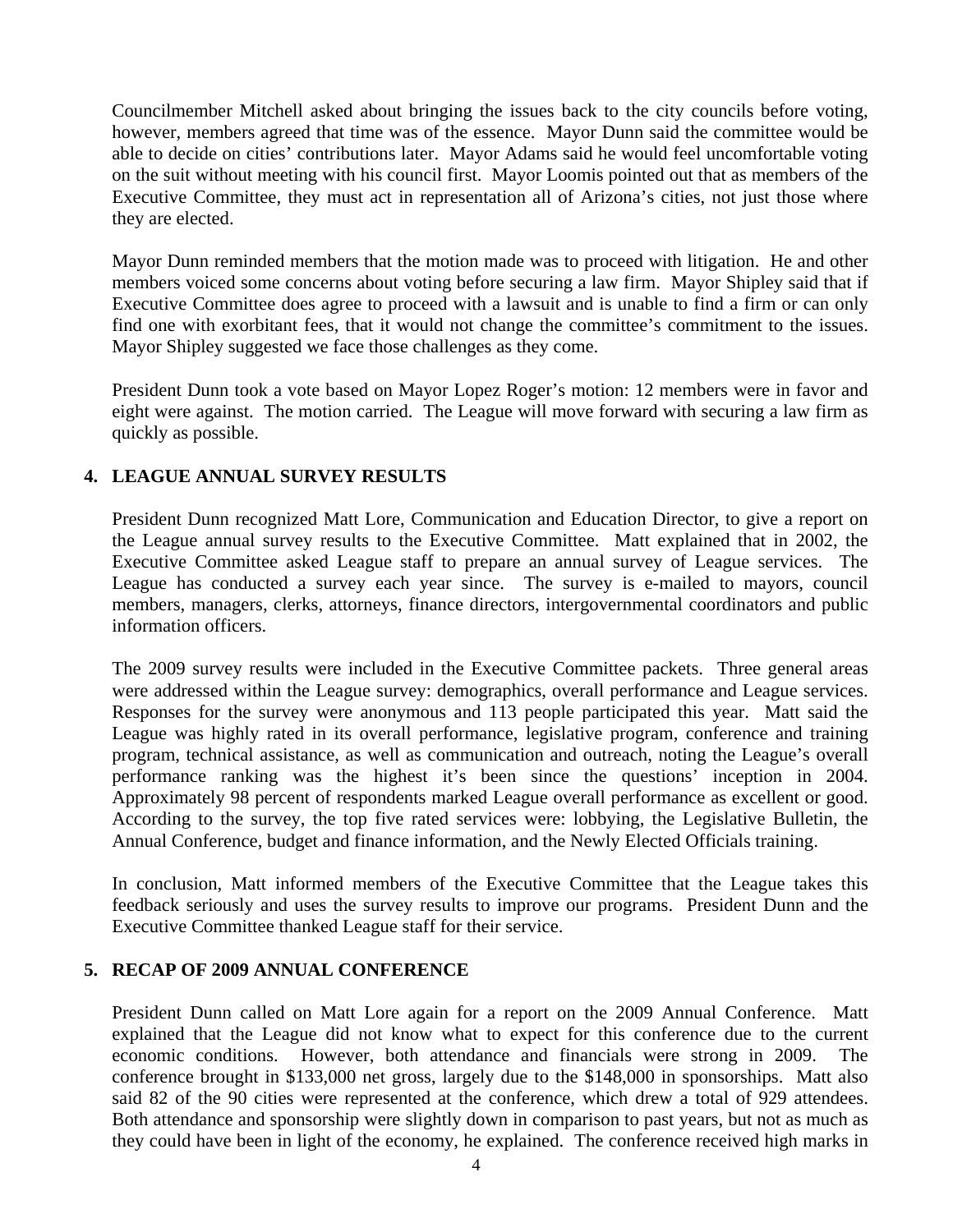Councilmember Mitchell asked about bringing the issues back to the city councils before voting, however, members agreed that time was of the essence. Mayor Dunn said the committee would be able to decide on cities' contributions later. Mayor Adams said he would feel uncomfortable voting on the suit without meeting with his council first. Mayor Loomis pointed out that as members of the Executive Committee, they must act in representation all of Arizona's cities, not just those where they are elected.

Mayor Dunn reminded members that the motion made was to proceed with litigation. He and other members voiced some concerns about voting before securing a law firm. Mayor Shipley said that if Executive Committee does agree to proceed with a lawsuit and is unable to find a firm or can only find one with exorbitant fees, that it would not change the committee's commitment to the issues. Mayor Shipley suggested we face those challenges as they come.

President Dunn took a vote based on Mayor Lopez Roger's motion: 12 members were in favor and eight were against. The motion carried. The League will move forward with securing a law firm as quickly as possible.

# **4. LEAGUE ANNUAL SURVEY RESULTS**

President Dunn recognized Matt Lore, Communication and Education Director, to give a report on the League annual survey results to the Executive Committee. Matt explained that in 2002, the Executive Committee asked League staff to prepare an annual survey of League services. The League has conducted a survey each year since. The survey is e-mailed to mayors, council members, managers, clerks, attorneys, finance directors, intergovernmental coordinators and public information officers.

The 2009 survey results were included in the Executive Committee packets. Three general areas were addressed within the League survey: demographics, overall performance and League services. Responses for the survey were anonymous and 113 people participated this year. Matt said the League was highly rated in its overall performance, legislative program, conference and training program, technical assistance, as well as communication and outreach, noting the League's overall performance ranking was the highest it's been since the questions' inception in 2004. Approximately 98 percent of respondents marked League overall performance as excellent or good. According to the survey, the top five rated services were: lobbying, the Legislative Bulletin, the Annual Conference, budget and finance information, and the Newly Elected Officials training.

In conclusion, Matt informed members of the Executive Committee that the League takes this feedback seriously and uses the survey results to improve our programs. President Dunn and the Executive Committee thanked League staff for their service.

# **5. RECAP OF 2009 ANNUAL CONFERENCE**

President Dunn called on Matt Lore again for a report on the 2009 Annual Conference. Matt explained that the League did not know what to expect for this conference due to the current economic conditions. However, both attendance and financials were strong in 2009. The conference brought in \$133,000 net gross, largely due to the \$148,000 in sponsorships. Matt also said 82 of the 90 cities were represented at the conference, which drew a total of 929 attendees. Both attendance and sponsorship were slightly down in comparison to past years, but not as much as they could have been in light of the economy, he explained. The conference received high marks in